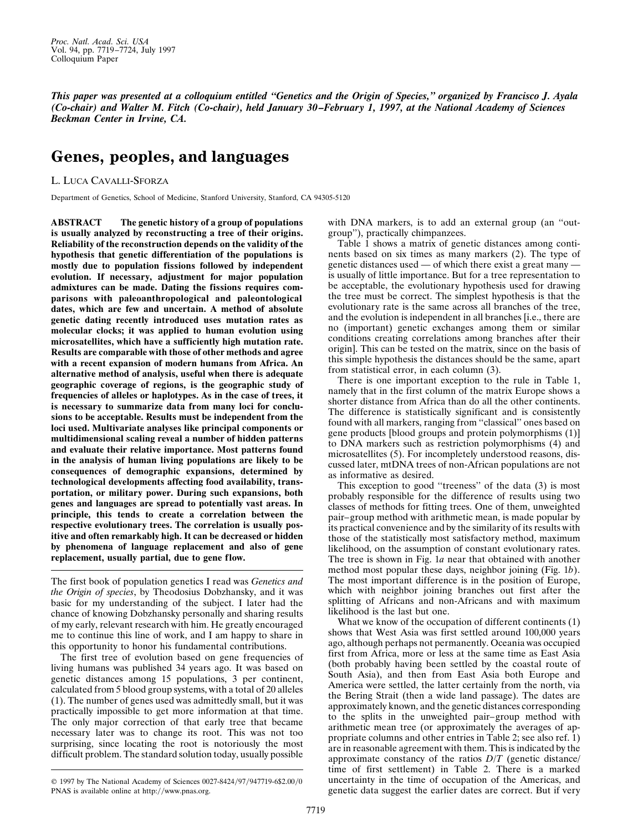*This paper was presented at a colloquium entitled ''Genetics and the Origin of Species,'' organized by Francisco J. Ayala (Co-chair) and Walter M. Fitch (Co-chair), held January 30–February 1, 1997, at the National Academy of Sciences Beckman Center in Irvine, CA.*

# **Genes, peoples, and languages**

## L. LUCA CAVALLI-SFORZA

Department of Genetics, School of Medicine, Stanford University, Stanford, CA 94305-5120

**ABSTRACT The genetic history of a group of populations is usually analyzed by reconstructing a tree of their origins. Reliability of the reconstruction depends on the validity of the hypothesis that genetic differentiation of the populations is mostly due to population fissions followed by independent evolution. If necessary, adjustment for major population admixtures can be made. Dating the fissions requires comparisons with paleoanthropological and paleontological dates, which are few and uncertain. A method of absolute genetic dating recently introduced uses mutation rates as molecular clocks; it was applied to human evolution using microsatellites, which have a sufficiently high mutation rate. Results are comparable with those of other methods and agree with a recent expansion of modern humans from Africa. An alternative method of analysis, useful when there is adequate geographic coverage of regions, is the geographic study of frequencies of alleles or haplotypes. As in the case of trees, it is necessary to summarize data from many loci for conclusions to be acceptable. Results must be independent from the loci used. Multivariate analyses like principal components or multidimensional scaling reveal a number of hidden patterns and evaluate their relative importance. Most patterns found in the analysis of human living populations are likely to be consequences of demographic expansions, determined by technological developments affecting food availability, transportation, or military power. During such expansions, both genes and languages are spread to potentially vast areas. In principle, this tends to create a correlation between the respective evolutionary trees. The correlation is usually positive and often remarkably high. It can be decreased or hidden by phenomena of language replacement and also of gene replacement, usually partial, due to gene flow.**

The first book of population genetics I read was *Genetics and the Origin of species*, by Theodosius Dobzhansky, and it was basic for my understanding of the subject. I later had the chance of knowing Dobzhansky personally and sharing results of my early, relevant research with him. He greatly encouraged me to continue this line of work, and I am happy to share in this opportunity to honor his fundamental contributions.

The first tree of evolution based on gene frequencies of living humans was published 34 years ago. It was based on genetic distances among 15 populations, 3 per continent, calculated from 5 blood group systems, with a total of 20 alleles (1). The number of genes used was admittedly small, but it was practically impossible to get more information at that time. The only major correction of that early tree that became necessary later was to change its root. This was not too surprising, since locating the root is notoriously the most difficult problem. The standard solution today, usually possible

with DNA markers, is to add an external group (an "outgroup''), practically chimpanzees.

Table 1 shows a matrix of genetic distances among continents based on six times as many markers (2). The type of genetic distances used — of which there exist a great many is usually of little importance. But for a tree representation to be acceptable, the evolutionary hypothesis used for drawing the tree must be correct. The simplest hypothesis is that the evolutionary rate is the same across all branches of the tree, and the evolution is independent in all branches [i.e., there are no (important) genetic exchanges among them or similar conditions creating correlations among branches after their origin]. This can be tested on the matrix, since on the basis of this simple hypothesis the distances should be the same, apart from statistical error, in each column (3).

There is one important exception to the rule in Table 1, namely that in the first column of the matrix Europe shows a shorter distance from Africa than do all the other continents. The difference is statistically significant and is consistently found with all markers, ranging from ''classical'' ones based on gene products [blood groups and protein polymorphisms (1)] to DNA markers such as restriction polymorphisms (4) and microsatellites (5). For incompletely understood reasons, discussed later, mtDNA trees of non-African populations are not as informative as desired.

This exception to good ''treeness'' of the data (3) is most probably responsible for the difference of results using two classes of methods for fitting trees. One of them, unweighted pair–group method with arithmetic mean, is made popular by its practical convenience and by the similarity of its results with those of the statistically most satisfactory method, maximum likelihood, on the assumption of constant evolutionary rates. The tree is shown in Fig. 1*a* near that obtained with another method most popular these days, neighbor joining (Fig. 1*b*). The most important difference is in the position of Europe, which with neighbor joining branches out first after the splitting of Africans and non-Africans and with maximum likelihood is the last but one.

What we know of the occupation of different continents (1) shows that West Asia was first settled around 100,000 years ago, although perhaps not permanently. Oceania was occupied first from Africa, more or less at the same time as East Asia (both probably having been settled by the coastal route of South Asia), and then from East Asia both Europe and America were settled, the latter certainly from the north, via the Bering Strait (then a wide land passage). The dates are approximately known, and the genetic distances corresponding to the splits in the unweighted pair–group method with arithmetic mean tree (or approximately the averages of appropriate columns and other entries in Table 2; see also ref. 1) are in reasonable agreement with them. This is indicated by the approximate constancy of the ratios *D*/*T* (genetic distance/ time of first settlement) in Table 2. There is a marked uncertainty in the time of occupation of the Americas, and genetic data suggest the earlier dates are correct. But if very

<sup>© 1997</sup> by The National Academy of Sciences 0027-8424/97/947719-6\$2.00/0 PNAS is available online at http://www.pnas.org.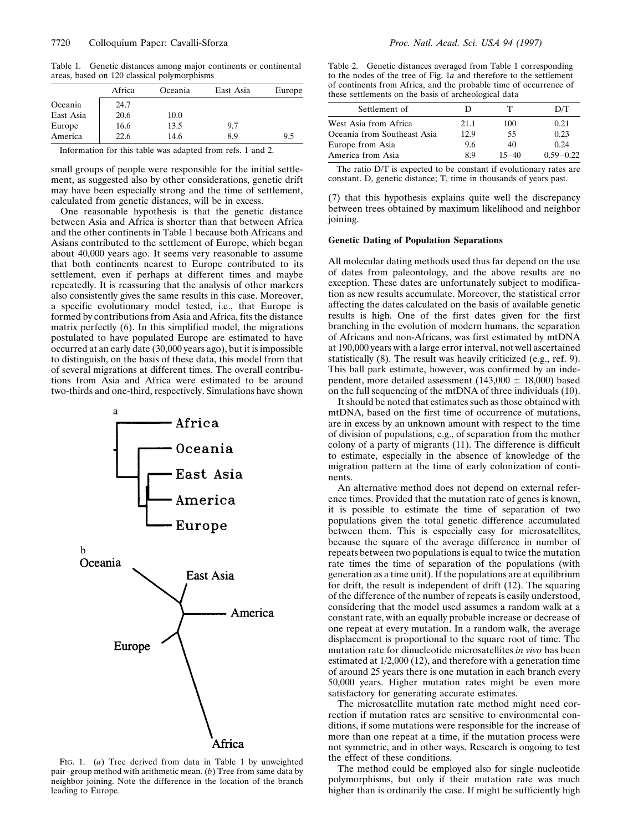Table 1. Genetic distances among major continents or continental areas, based on 120 classical polymorphisms

|           | Africa | Oceania | East Asia | Europe |
|-----------|--------|---------|-----------|--------|
| Oceania   | 24.7   |         |           |        |
| East Asia | 20.6   | 10.0    |           |        |
| Europe    | 16.6   | 13.5    | 9.7       |        |
| America   | 22.6   | 14.6    | 8.9       | 9.5    |

Information for this table was adapted from refs. 1 and 2.

small groups of people were responsible for the initial settlement, as suggested also by other considerations, genetic drift may have been especially strong and the time of settlement, calculated from genetic distances, will be in excess.

One reasonable hypothesis is that the genetic distance between Asia and Africa is shorter than that between Africa and the other continents in Table 1 because both Africans and Asians contributed to the settlement of Europe, which began about 40,000 years ago. It seems very reasonable to assume that both continents nearest to Europe contributed to its settlement, even if perhaps at different times and maybe repeatedly. It is reassuring that the analysis of other markers also consistently gives the same results in this case. Moreover, a specific evolutionary model tested, i.e., that Europe is formed by contributions from Asia and Africa, fits the distance matrix perfectly (6). In this simplified model, the migrations postulated to have populated Europe are estimated to have occurred at an early date (30,000 years ago), but it is impossible to distinguish, on the basis of these data, this model from that of several migrations at different times. The overall contributions from Asia and Africa were estimated to be around two-thirds and one-third, respectively. Simulations have shown



FIG. 1. (*a*) Tree derived from data in Table 1 by unweighted pair–group method with arithmetic mean. (*b*) Tree from same data by neighbor joining. Note the difference in the location of the branch leading to Europe.

Table 2. Genetic distances averaged from Table 1 corresponding to the nodes of the tree of Fig. 1*a* and therefore to the settlement of continents from Africa, and the probable time of occurrence of these settlements on the basis of archeological data

|      | т         | D/T           |
|------|-----------|---------------|
| 21.1 | 100       | 0.21          |
| 12.9 | 55        | 0.23          |
| 9.6  | 40        | 0.24          |
| 8.9  | $15 - 40$ | $0.59 - 0.22$ |
|      |           |               |

The ratio D/T is expected to be constant if evolutionary rates are constant. D, genetic distance; T, time in thousands of years past.

(7) that this hypothesis explains quite well the discrepancy between trees obtained by maximum likelihood and neighbor joining.

#### **Genetic Dating of Population Separations**

All molecular dating methods used thus far depend on the use of dates from paleontology, and the above results are no exception. These dates are unfortunately subject to modification as new results accumulate. Moreover, the statistical error affecting the dates calculated on the basis of available genetic results is high. One of the first dates given for the first branching in the evolution of modern humans, the separation of Africans and non-Africans, was first estimated by mtDNA at 190,000 years with a large error interval, not well ascertained statistically (8). The result was heavily criticized (e.g., ref. 9). This ball park estimate, however, was confirmed by an independent, more detailed assessment (143,000  $\pm$  18,000) based on the full sequencing of the mtDNA of three individuals (10).

It should be noted that estimates such as those obtained with mtDNA, based on the first time of occurrence of mutations, are in excess by an unknown amount with respect to the time of division of populations, e.g., of separation from the mother colony of a party of migrants (11). The difference is difficult to estimate, especially in the absence of knowledge of the migration pattern at the time of early colonization of continents.

An alternative method does not depend on external reference times. Provided that the mutation rate of genes is known, it is possible to estimate the time of separation of two populations given the total genetic difference accumulated between them. This is especially easy for microsatellites, because the square of the average difference in number of repeats between two populations is equal to twice the mutation rate times the time of separation of the populations (with generation as a time unit). If the populations are at equilibrium for drift, the result is independent of drift (12). The squaring of the difference of the number of repeats is easily understood, considering that the model used assumes a random walk at a constant rate, with an equally probable increase or decrease of one repeat at every mutation. In a random walk, the average displacement is proportional to the square root of time. The mutation rate for dinucleotide microsatellites *in vivo* has been estimated at 1/2,000 (12), and therefore with a generation time of around 25 years there is one mutation in each branch every 50,000 years. Higher mutation rates might be even more satisfactory for generating accurate estimates.

The microsatellite mutation rate method might need correction if mutation rates are sensitive to environmental conditions, if some mutations were responsible for the increase of more than one repeat at a time, if the mutation process were not symmetric, and in other ways. Research is ongoing to test the effect of these conditions.

The method could be employed also for single nucleotide polymorphisms, but only if their mutation rate was much higher than is ordinarily the case. If might be sufficiently high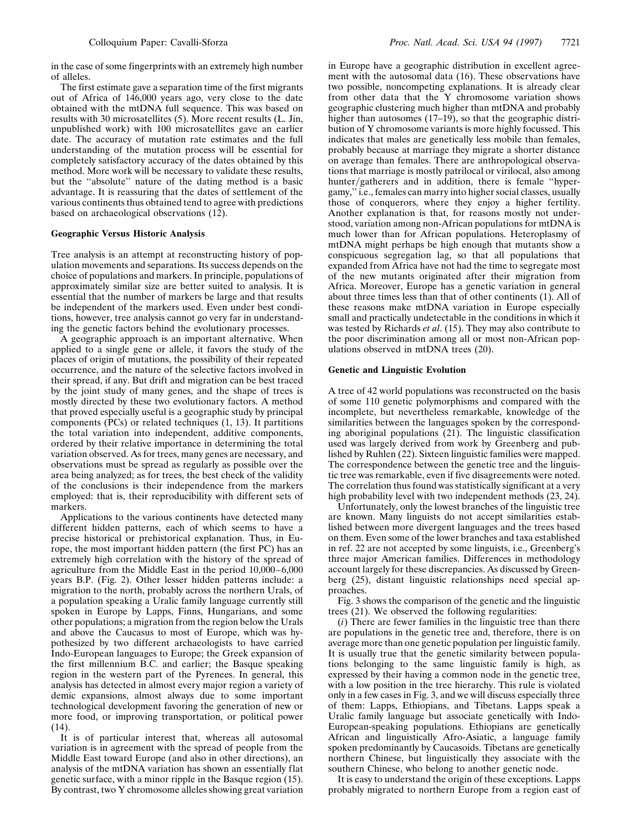in the case of some fingerprints with an extremely high number of alleles.

The first estimate gave a separation time of the first migrants out of Africa of 146,000 years ago, very close to the date obtained with the mtDNA full sequence. This was based on results with 30 microsatellites (5). More recent results (L. Jin, unpublished work) with 100 microsatellites gave an earlier date. The accuracy of mutation rate estimates and the full understanding of the mutation process will be essential for completely satisfactory accuracy of the dates obtained by this method. More work will be necessary to validate these results, but the ''absolute'' nature of the dating method is a basic advantage. It is reassuring that the dates of settlement of the various continents thus obtained tend to agree with predictions based on archaeological observations (12).

### **Geographic Versus Historic Analysis**

Tree analysis is an attempt at reconstructing history of population movements and separations. Its success depends on the choice of populations and markers. In principle, populations of approximately similar size are better suited to analysis. It is essential that the number of markers be large and that results be independent of the markers used. Even under best conditions, however, tree analysis cannot go very far in understanding the genetic factors behind the evolutionary processes.

A geographic approach is an important alternative. When applied to a single gene or allele, it favors the study of the places of origin of mutations, the possibility of their repeated occurrence, and the nature of the selective factors involved in their spread, if any. But drift and migration can be best traced by the joint study of many genes, and the shape of trees is mostly directed by these two evolutionary factors. A method that proved especially useful is a geographic study by principal components (PCs) or related techniques (1, 13). It partitions the total variation into independent, additive components, ordered by their relative importance in determining the total variation observed. As for trees, many genes are necessary, and observations must be spread as regularly as possible over the area being analyzed; as for trees, the best check of the validity of the conclusions is their independence from the markers employed: that is, their reproducibility with different sets of markers.

Applications to the various continents have detected many different hidden patterns, each of which seems to have a precise historical or prehistorical explanation. Thus, in Europe, the most important hidden pattern (the first PC) has an extremely high correlation with the history of the spread of agriculture from the Middle East in the period 10,000–6,000 years B.P. (Fig. 2). Other lesser hidden patterns include: a migration to the north, probably across the northern Urals, of a population speaking a Uralic family language currently still spoken in Europe by Lapps, Finns, Hungarians, and some other populations; a migration from the region below the Urals and above the Caucasus to most of Europe, which was hypothesized by two different archaeologists to have carried Indo-European languages to Europe; the Greek expansion of the first millennium B.C. and earlier; the Basque speaking region in the western part of the Pyrenees. In general, this analysis has detected in almost every major region a variety of demic expansions, almost always due to some important technological development favoring the generation of new or more food, or improving transportation, or political power (14).

It is of particular interest that, whereas all autosomal variation is in agreement with the spread of people from the Middle East toward Europe (and also in other directions), an analysis of the mtDNA variation has shown an essentially flat genetic surface, with a minor ripple in the Basque region (15). By contrast, two Y chromosome alleles showing great variation

in Europe have a geographic distribution in excellent agreement with the autosomal data (16). These observations have two possible, noncompeting explanations. It is already clear from other data that the Y chromosome variation shows geographic clustering much higher than mtDNA and probably higher than autosomes (17–19), so that the geographic distribution of Y chromosome variants is more highly focussed. This indicates that males are genetically less mobile than females, probably because at marriage they migrate a shorter distance on average than females. There are anthropological observations that marriage is mostly patrilocal or virilocal, also among hunter/gatherers and in addition, there is female "hypergamy,'' i.e., females can marry into higher social classes, usually those of conquerors, where they enjoy a higher fertility. Another explanation is that, for reasons mostly not understood, variation among non-African populations for mtDNA is much lower than for African populations. Heteroplasmy of mtDNA might perhaps be high enough that mutants show a conspicuous segregation lag, so that all populations that expanded from Africa have not had the time to segregate most of the new mutants originated after their migration from Africa. Moreover, Europe has a genetic variation in general about three times less than that of other continents (1). All of these reasons make mtDNA variation in Europe especially small and practically undetectable in the conditions in which it was tested by Richards *et al*. (15). They may also contribute to the poor discrimination among all or most non-African populations observed in mtDNA trees (20).

#### **Genetic and Linguistic Evolution**

A tree of 42 world populations was reconstructed on the basis of some 110 genetic polymorphisms and compared with the incomplete, but nevertheless remarkable, knowledge of the similarities between the languages spoken by the corresponding aboriginal populations (21). The linguistic classification used was largely derived from work by Greenberg and published by Ruhlen (22). Sixteen linguistic families were mapped. The correspondence between the genetic tree and the linguistic tree was remarkable, even if five disagreements were noted. The correlation thus found was statistically significant at a very high probability level with two independent methods (23, 24).

Unfortunately, only the lowest branches of the linguistic tree are known. Many linguists do not accept similarities established between more divergent languages and the trees based on them. Even some of the lower branches and taxa established in ref. 22 are not accepted by some linguists, i.e., Greenberg's three major American families. Differences in methodology account largely for these discrepancies. As discussed by Greenberg (25), distant linguistic relationships need special approaches.

Fig. 3 shows the comparison of the genetic and the linguistic trees (21). We observed the following regularities:

(*i*) There are fewer families in the linguistic tree than there are populations in the genetic tree and, therefore, there is on average more than one genetic population per linguistic family. It is usually true that the genetic similarity between populations belonging to the same linguistic family is high, as expressed by their having a common node in the genetic tree, with a low position in the tree hierarchy. This rule is violated only in a few cases in Fig. 3, and we will discuss especially three of them: Lapps, Ethiopians, and Tibetans. Lapps speak a Uralic family language but associate genetically with Indo-European-speaking populations. Ethiopians are genetically African and linguistically Afro-Asiatic, a language family spoken predominantly by Caucasoids. Tibetans are genetically northern Chinese, but linguistically they associate with the southern Chinese, who belong to another genetic node.

It is easy to understand the origin of these exceptions. Lapps probably migrated to northern Europe from a region east of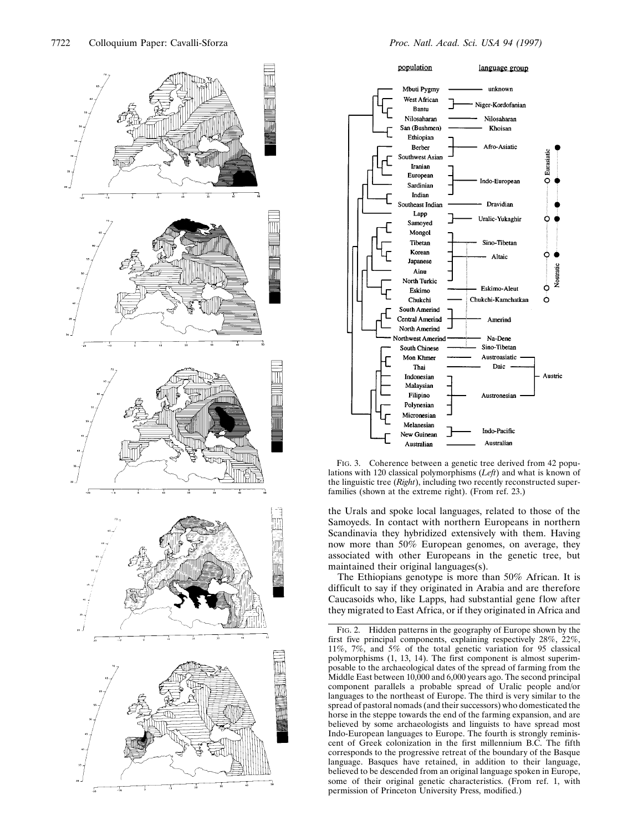



FIG. 3. Coherence between a genetic tree derived from 42 populations with 120 classical polymorphisms (*Left*) and what is known of the linguistic tree (*Right*), including two recently reconstructed superfamilies (shown at the extreme right). (From ref. 23.)

the Urals and spoke local languages, related to those of the Samoyeds. In contact with northern Europeans in northern Scandinavia they hybridized extensively with them. Having now more than 50% European genomes, on average, they associated with other Europeans in the genetic tree, but maintained their original languages(s).

The Ethiopians genotype is more than 50% African. It is difficult to say if they originated in Arabia and are therefore Caucasoids who, like Lapps, had substantial gene flow after they migrated to East Africa, or if they originated in Africa and

FIG. 2. Hidden patterns in the geography of Europe shown by the first five principal components, explaining respectively 28%, 22%, 11%, 7%, and 5% of the total genetic variation for 95 classical polymorphisms (1, 13, 14). The first component is almost superimposable to the archaeological dates of the spread of farming from the Middle East between 10,000 and 6,000 years ago. The second principal component parallels a probable spread of Uralic people and/or languages to the northeast of Europe. The third is very similar to the spread of pastoral nomads (and their successors) who domesticated the horse in the steppe towards the end of the farming expansion, and are believed by some archaeologists and linguists to have spread most Indo-European languages to Europe. The fourth is strongly reminiscent of Greek colonization in the first millennium B.C. The fifth corresponds to the progressive retreat of the boundary of the Basque language. Basques have retained, in addition to their language, believed to be descended from an original language spoken in Europe, some of their original genetic characteristics. (From ref. 1, with permission of Princeton University Press, modified.)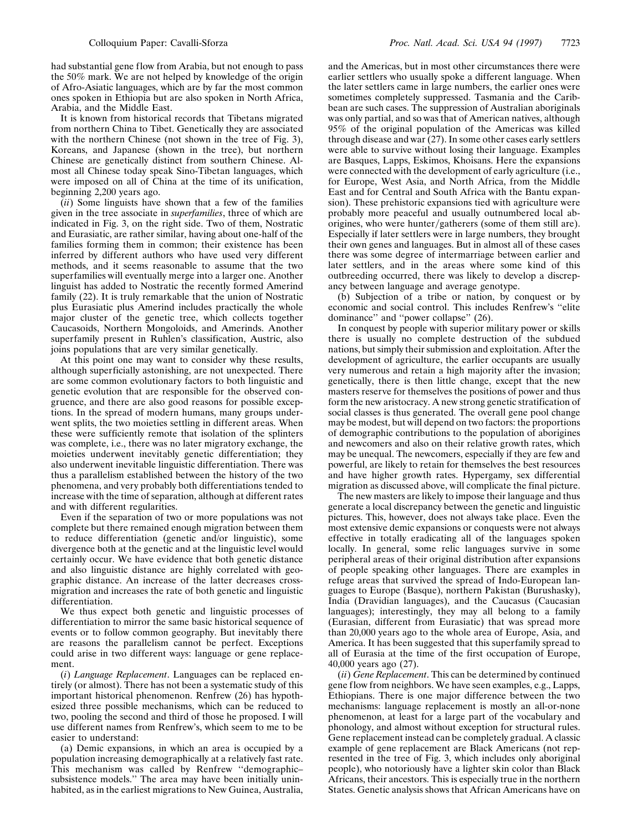had substantial gene flow from Arabia, but not enough to pass the 50% mark. We are not helped by knowledge of the origin of Afro-Asiatic languages, which are by far the most common ones spoken in Ethiopia but are also spoken in North Africa, Arabia, and the Middle East.

It is known from historical records that Tibetans migrated from northern China to Tibet. Genetically they are associated with the northern Chinese (not shown in the tree of Fig. 3), Koreans, and Japanese (shown in the tree), but northern Chinese are genetically distinct from southern Chinese. Almost all Chinese today speak Sino-Tibetan languages, which were imposed on all of China at the time of its unification, beginning 2,200 years ago.

(*ii*) Some linguists have shown that a few of the families given in the tree associate in *superfamilies*, three of which are indicated in Fig. 3, on the right side. Two of them, Nostratic and Eurasiatic, are rather similar, having about one-half of the families forming them in common; their existence has been inferred by different authors who have used very different methods, and it seems reasonable to assume that the two superfamilies will eventually merge into a larger one. Another linguist has added to Nostratic the recently formed Amerind family (22). It is truly remarkable that the union of Nostratic plus Eurasiatic plus Amerind includes practically the whole major cluster of the genetic tree, which collects together Caucasoids, Northern Mongoloids, and Amerinds. Another superfamily present in Ruhlen's classification, Austric, also joins populations that are very similar genetically.

At this point one may want to consider why these results, although superficially astonishing, are not unexpected. There are some common evolutionary factors to both linguistic and genetic evolution that are responsible for the observed congruence, and there are also good reasons for possible exceptions. In the spread of modern humans, many groups underwent splits, the two moieties settling in different areas. When these were sufficiently remote that isolation of the splinters was complete, i.e., there was no later migratory exchange, the moieties underwent inevitably genetic differentiation; they also underwent inevitable linguistic differentiation. There was thus a parallelism established between the history of the two phenomena, and very probably both differentiations tended to increase with the time of separation, although at different rates and with different regularities.

Even if the separation of two or more populations was not complete but there remained enough migration between them to reduce differentiation (genetic and/or linguistic), some divergence both at the genetic and at the linguistic level would certainly occur. We have evidence that both genetic distance and also linguistic distance are highly correlated with geographic distance. An increase of the latter decreases crossmigration and increases the rate of both genetic and linguistic differentiation.

We thus expect both genetic and linguistic processes of differentiation to mirror the same basic historical sequence of events or to follow common geography. But inevitably there are reasons the parallelism cannot be perfect. Exceptions could arise in two different ways: language or gene replacement.

(*i*) *Language Replacement*. Languages can be replaced entirely (or almost). There has not been a systematic study of this important historical phenomenon. Renfrew (26) has hypothesized three possible mechanisms, which can be reduced to two, pooling the second and third of those he proposed. I will use different names from Renfrew's, which seem to me to be easier to understand:

(a) Demic expansions, in which an area is occupied by a population increasing demographically at a relatively fast rate. This mechanism was called by Renfrew ''demographic– subsistence models.'' The area may have been initially uninhabited, as in the earliest migrations to New Guinea, Australia, and the Americas, but in most other circumstances there were earlier settlers who usually spoke a different language. When the later settlers came in large numbers, the earlier ones were sometimes completely suppressed. Tasmania and the Caribbean are such cases. The suppression of Australian aboriginals was only partial, and so was that of American natives, although 95% of the original population of the Americas was killed through disease and war (27). In some other cases early settlers were able to survive without losing their language. Examples are Basques, Lapps, Eskimos, Khoisans. Here the expansions were connected with the development of early agriculture (i.e., for Europe, West Asia, and North Africa, from the Middle East and for Central and South Africa with the Bantu expansion). These prehistoric expansions tied with agriculture were probably more peaceful and usually outnumbered local aborigines, who were hunter/gatherers (some of them still are). Especially if later settlers were in large numbers, they brought their own genes and languages. But in almost all of these cases there was some degree of intermarriage between earlier and later settlers, and in the areas where some kind of this outbreeding occurred, there was likely to develop a discrepancy between language and average genotype.

(b) Subjection of a tribe or nation, by conquest or by economic and social control. This includes Renfrew's ''elite dominance'' and ''power collapse'' (26).

In conquest by people with superior military power or skills there is usually no complete destruction of the subdued nations, but simply their submission and exploitation. After the development of agriculture, the earlier occupants are usually very numerous and retain a high majority after the invasion; genetically, there is then little change, except that the new masters reserve for themselves the positions of power and thus form the new aristocracy. A new strong genetic stratification of social classes is thus generated. The overall gene pool change may be modest, but will depend on two factors: the proportions of demographic contributions to the population of aborigines and newcomers and also on their relative growth rates, which may be unequal. The newcomers, especially if they are few and powerful, are likely to retain for themselves the best resources and have higher growth rates. Hypergamy, sex differential migration as discussed above, will complicate the final picture.

The new masters are likely to impose their language and thus generate a local discrepancy between the genetic and linguistic pictures. This, however, does not always take place. Even the most extensive demic expansions or conquests were not always effective in totally eradicating all of the languages spoken locally. In general, some relic languages survive in some peripheral areas of their original distribution after expansions of people speaking other languages. There are examples in refuge areas that survived the spread of Indo-European languages to Europe (Basque), northern Pakistan (Burushasky), India (Dravidian languages), and the Caucasus (Caucasian languages); interestingly, they may all belong to a family (Eurasian, different from Eurasiatic) that was spread more than 20,000 years ago to the whole area of Europe, Asia, and America. It has been suggested that this superfamily spread to all of Eurasia at the time of the first occupation of Europe, 40,000 years ago (27).

(*ii*) *Gene Replacement*. This can be determined by continued gene flow from neighbors. We have seen examples, e.g., Lapps, Ethiopians. There is one major difference between the two mechanisms: language replacement is mostly an all-or-none phenomenon, at least for a large part of the vocabulary and phonology, and almost without exception for structural rules. Gene replacement instead can be completely gradual. A classic example of gene replacement are Black Americans (not represented in the tree of Fig. 3, which includes only aboriginal people), who notoriously have a lighter skin color than Black Africans, their ancestors. This is especially true in the northern States. Genetic analysis shows that African Americans have on